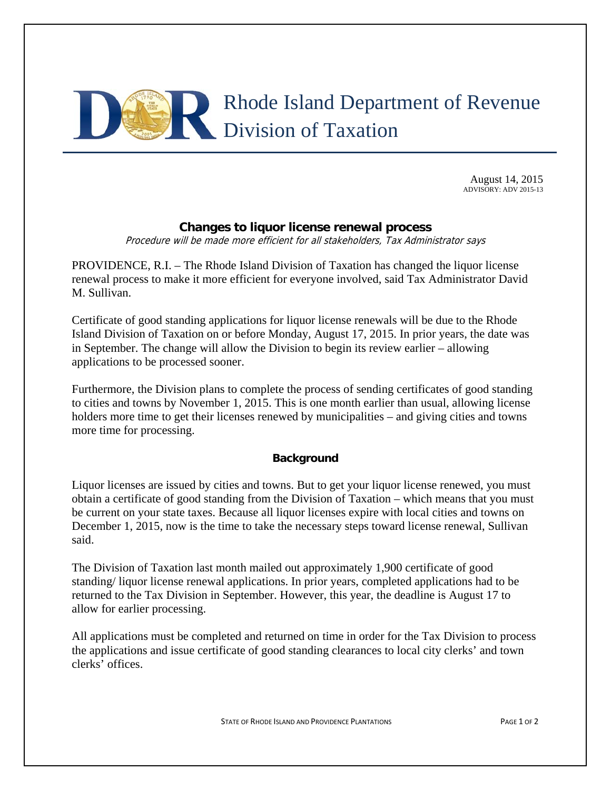

August 14, 2015 ADVISORY: ADV 2015-13

## **Changes to liquor license renewal process**

Procedure will be made more efficient for all stakeholders, Tax Administrator says

PROVIDENCE, R.I. – The Rhode Island Division of Taxation has changed the liquor license renewal process to make it more efficient for everyone involved, said Tax Administrator David M. Sullivan.

Certificate of good standing applications for liquor license renewals will be due to the Rhode Island Division of Taxation on or before Monday, August 17, 2015. In prior years, the date was in September. The change will allow the Division to begin its review earlier – allowing applications to be processed sooner.

Furthermore, the Division plans to complete the process of sending certificates of good standing to cities and towns by November 1, 2015. This is one month earlier than usual, allowing license holders more time to get their licenses renewed by municipalities – and giving cities and towns more time for processing.

## **Background**

Liquor licenses are issued by cities and towns. But to get your liquor license renewed, you must obtain a certificate of good standing from the Division of Taxation – which means that you must be current on your state taxes. Because all liquor licenses expire with local cities and towns on December 1, 2015, now is the time to take the necessary steps toward license renewal, Sullivan said.

The Division of Taxation last month mailed out approximately 1,900 certificate of good standing/ liquor license renewal applications. In prior years, completed applications had to be returned to the Tax Division in September. However, this year, the deadline is August 17 to allow for earlier processing.

All applications must be completed and returned on time in order for the Tax Division to process the applications and issue certificate of good standing clearances to local city clerks' and town clerks' offices.